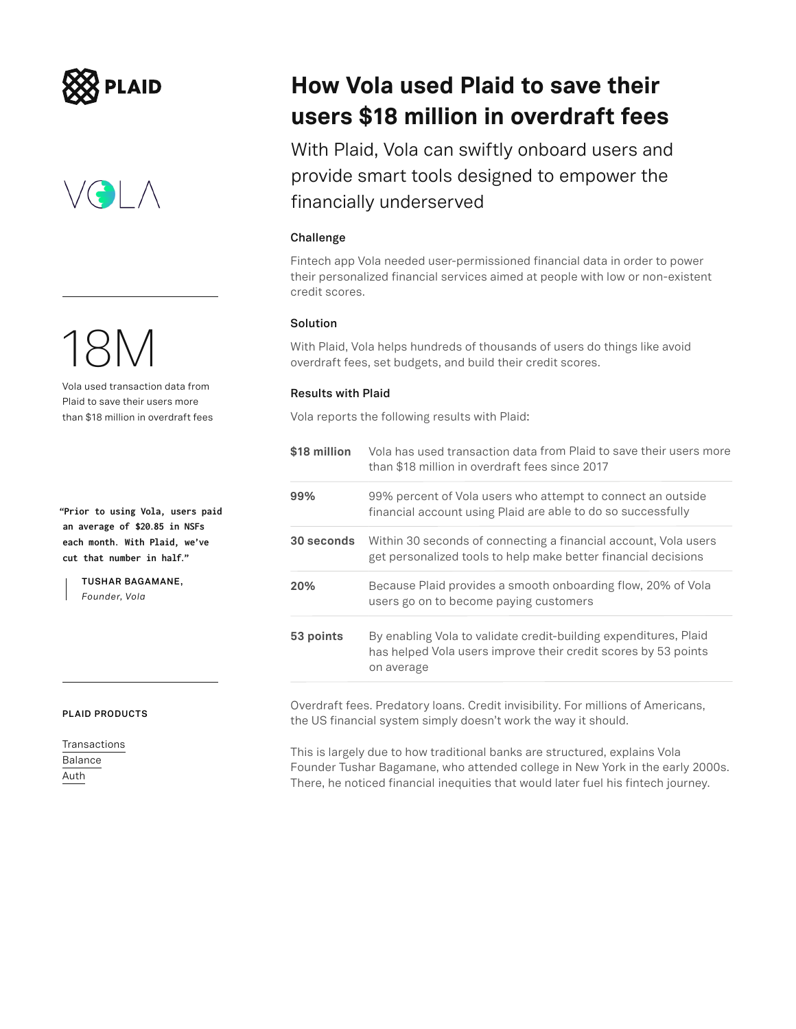



18M

Vola used transaction data from Plaid to save their users more than \$18 million in overdraft fees

**"Prior to using Vola, users paid an average of \$20.85 in NSFs each month. With Plaid, we've cut that number in half."**

> **TUSHAR BAGAMANE,**  *Founder, Vola*

#### **PLAID PRODUCTS**

[Transactions](https://plaid.com/products/transactions/) [Balance](https://plaid.com/products/balance/) [Auth](https://plaid.com/products/auth/)

### **How Vola used Plaid to save their users \$18 million in overdraft fees**

With Plaid, Vola can swiftly onboard users and provide smart tools designed to empower the financially underserved

### **Challenge**

Fintech app Vola needed user-permissioned financial data in order to power their personalized financial services aimed at people with low or non-existent credit scores.

### **Solution**

With Plaid, Vola helps hundreds of thousands of users do things like avoid overdraft fees, set budgets, and build their credit scores.

### **Results with Plaid**

Vola reports the following results with Plaid:

| \$18 million | Vola has used transaction data from Plaid to save their users more<br>than \$18 million in overdraft fees since 2017                             |
|--------------|--------------------------------------------------------------------------------------------------------------------------------------------------|
| 99%          | 99% percent of Vola users who attempt to connect an outside<br>financial account using Plaid are able to do so successfully                      |
| 30 seconds   | Within 30 seconds of connecting a financial account, Vola users<br>get personalized tools to help make better financial decisions                |
| 20%          | Because Plaid provides a smooth onboarding flow, 20% of Vola<br>users go on to become paying customers                                           |
| 53 points    | By enabling Vola to validate credit-building expenditures, Plaid<br>has helped Vola users improve their credit scores by 53 points<br>on average |
|              |                                                                                                                                                  |

Overdraft fees. Predatory loans. Credit invisibility. For millions of Americans, the US financial system simply doesn't work the way it should.

This is largely due to how traditional banks are structured, explains Vola Founder Tushar Bagamane, who attended college in New York in the early 2000s. There, he noticed financial inequities that would later fuel his fintech journey.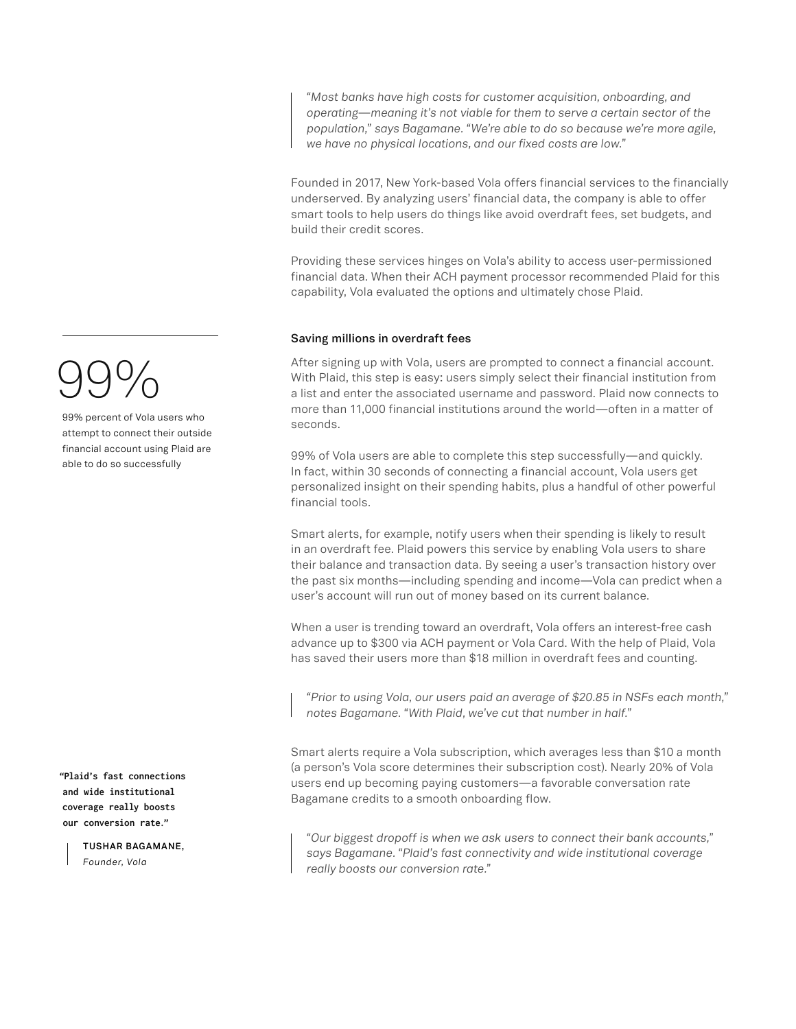*"Most banks have high costs for customer acquisition, onboarding, and operating—meaning it's not viable for them to serve a certain sector of the population," says Bagamane. "We're able to do so because we're more agile, we have no physical locations, and our fixed costs are low."*

Founded in 2017, New York-based Vola offers financial services to the financially underserved. By analyzing users' financial data, the company is able to offer smart tools to help users do things like avoid overdraft fees, set budgets, and build their credit scores.

Providing these services hinges on Vola's ability to access user-permissioned financial data. When their ACH payment processor recommended Plaid for this capability, Vola evaluated the options and ultimately chose Plaid.

### **Saving millions in overdraft fees**

After signing up with Vola, users are prompted to connect a financial account. With Plaid, this step is easy: users simply select their financial institution from a list and enter the associated username and password. Plaid now connects to more than 11,000 financial institutions around the world—often in a matter of seconds.

99% of Vola users are able to complete this step successfully—and quickly. In fact, within 30 seconds of connecting a financial account, Vola users get personalized insight on their spending habits, plus a handful of other powerful financial tools.

Smart alerts, for example, notify users when their spending is likely to result in an overdraft fee. Plaid powers this service by enabling Vola users to share their balance and transaction data. By seeing a user's transaction history over the past six months—including spending and income—Vola can predict when a user's account will run out of money based on its current balance.

When a user is trending toward an overdraft, Vola offers an interest-free cash advance up to \$300 via ACH payment or Vola Card. With the help of Plaid, Vola has saved their users more than \$18 million in overdraft fees and counting.

*"Prior to using Vola, our users paid an average of \$20.85 in NSFs each month," notes Bagamane. "With Plaid, we've cut that number in half."* 

Smart alerts require a Vola subscription, which averages less than \$10 a month (a person's Vola score determines their subscription cost). Nearly 20% of Vola users end up becoming paying customers—a favorable conversation rate Bagamane credits to a smooth onboarding flow.

*"Our biggest dropoff is when we ask users to connect their bank accounts," says Bagamane. "Plaid's fast connectivity and wide institutional coverage really boosts our conversion rate."*

# 99%

99% percent of Vola users who attempt to connect their outside financial account using Plaid are able to do so successfully

**"Plaid's fast connections and wide institutional coverage really boosts our conversion rate."**

> **TUSHAR BAGAMANE,**  *Founder, Vola*